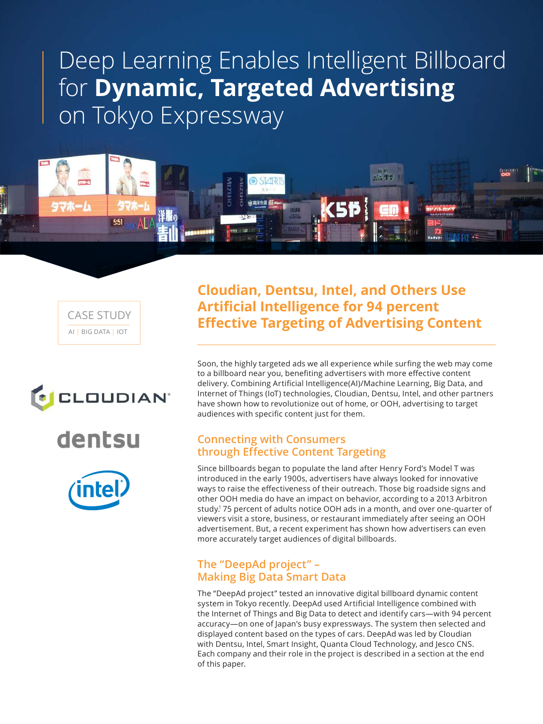# Deep Learning Enables Intelligent Billboard for **Dynamic, Targeted Advertising** on Tokyo Expressway



AI | BIG DATA | IOT CASE STUDY







**Cloudian, Dentsu, Intel, and Others Use Artificial Intelligence for 94 percent Effective Targeting of Advertising Content**

Soon, the highly targeted ads we all experience while surfing the web may come to a billboard near you, benefiting advertisers with more effective content delivery. Combining Artificial Intelligence(AI)/Machine Learning, Big Data, and Internet of Things (IoT) technologies, Cloudian, Dentsu, Intel, and other partners have shown how to revolutionize out of home, or OOH, advertising to target audiences with specific content just for them.

## **Connecting with Consumers through Effective Content Targeting**

Since billboards began to populate the land after Henry Ford's Model T was introduced in the early 1900s, advertisers have always looked for innovative ways to raise the effectiveness of their outreach. Those big roadside signs and other OOH media do have an impact on behavior, according to a 2013 Arbitron study.<sup>1</sup> 75 percent of adults notice OOH ads in a month, and over one-quarter of viewers visit a store, business, or restaurant immediately after seeing an OOH advertisement. But, a recent experiment has shown how advertisers can even more accurately target audiences of digital billboards.

## **The "DeepAd project" – Making Big Data Smart Data**

The "DeepAd project" tested an innovative digital billboard dynamic content system in Tokyo recently. DeepAd used Artificial Intelligence combined with the Internet of Things and Big Data to detect and identify cars—with 94 percent accuracy—on one of Japan's busy expressways. The system then selected and displayed content based on the types of cars. DeepAd was led by Cloudian with Dentsu, Intel, Smart Insight, Quanta Cloud Technology, and Jesco CNS. Each company and their role in the project is described in a section at the end of this paper.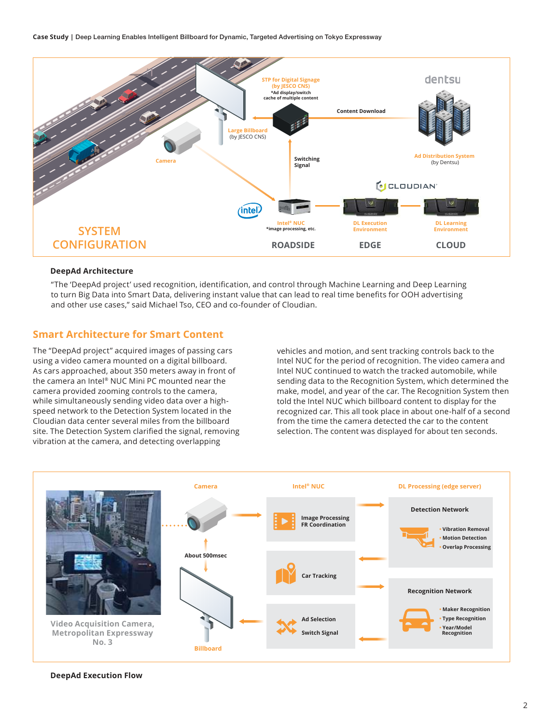Case Study | Deep Learning Enables Intelligent Billboard for Dynamic, Targeted Advertising on Tokyo Expressway



#### **DeepAd Architecture**

"The 'DeepAd project' used recognition, identification, and control through Machine Learning and Deep Learning to turn Big Data into Smart Data, delivering instant value that can lead to real time benefits for OOH advertising and other use cases," said Michael Tso, CEO and co-founder of Cloudian.

## **Smart Architecture for Smart Content**

The "DeepAd project" acquired images of passing cars using a video camera mounted on a digital billboard. As cars approached, about 350 meters away in front of the camera an Intel® NUC Mini PC mounted near the camera provided zooming controls to the camera, while simultaneously sending video data over a highspeed network to the Detection System located in the Cloudian data center several miles from the billboard site. The Detection System clarified the signal, removing vibration at the camera, and detecting overlapping

vehicles and motion, and sent tracking controls back to the Intel NUC for the period of recognition. The video camera and Intel NUC continued to watch the tracked automobile, while sending data to the Recognition System, which determined the make, model, and year of the car. The Recognition System then told the Intel NUC which billboard content to display for the recognized car. This all took place in about one-half of a second from the time the camera detected the car to the content selection. The content was displayed for about ten seconds.



#### **DeepAd Execution Flow**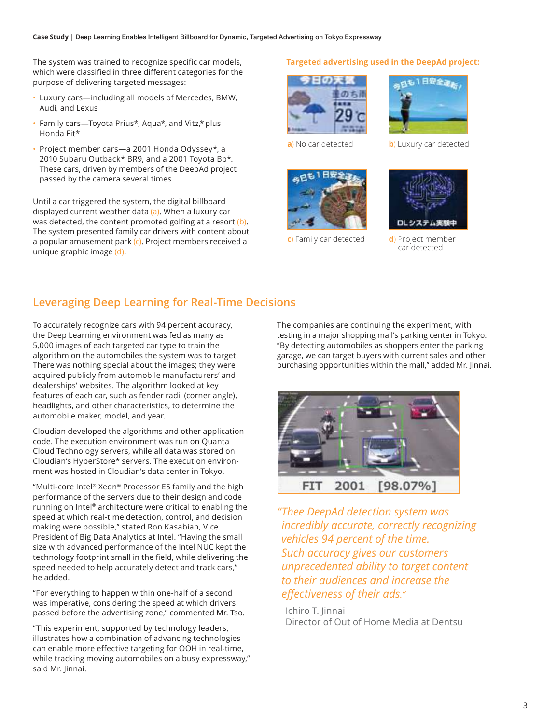The system was trained to recognize specific car models, which were classified in three different categories for the purpose of delivering targeted messages:

- Luxury cars—including all models of Mercedes, BMW, Audi, and Lexus
- Family cars—Toyota Prius\*, Aqua\*, and Vitz,\* plus Honda Fit\*
- Project member cars—a 2001 Honda Odyssey\*, a 2010 Subaru Outback\* BR9, and a 2001 Toyota Bb\*. These cars, driven by members of the DeepAd project passed by the camera several times

Until a car triggered the system, the digital billboard displayed current weather data (a). When a luxury car was detected, the content promoted golfing at a resort (b). The system presented family car drivers with content about a popular amusement park (c). Project members received a unique graphic image (d).

#### **Targeted advertising used in the DeepAd project:**





**b**) Luxury car detected

**a**) No car detected



**c**) Family car detected



**d**) Project member car detected

## **Leveraging Deep Learning for Real-Time Decisions**

To accurately recognize cars with 94 percent accuracy, the Deep Learning environment was fed as many as 5,000 images of each targeted car type to train the algorithm on the automobiles the system was to target. There was nothing special about the images; they were acquired publicly from automobile manufacturers' and dealerships' websites. The algorithm looked at key features of each car, such as fender radii (corner angle), headlights, and other characteristics, to determine the automobile maker, model, and year.

Cloudian developed the algorithms and other application code. The execution environment was run on Quanta Cloud Technology servers, while all data was stored on Cloudian's HyperStore\* servers. The execution environment was hosted in Cloudian's data center in Tokyo.

"Multi-core Intel® Xeon® Processor E5 family and the high performance of the servers due to their design and code running on Intel® architecture were critical to enabling the speed at which real-time detection, control, and decision making were possible," stated Ron Kasabian, Vice President of Big Data Analytics at Intel. "Having the small size with advanced performance of the Intel NUC kept the technology footprint small in the field, while delivering the speed needed to help accurately detect and track cars," he added.

"For everything to happen within one-half of a second was imperative, considering the speed at which drivers passed before the advertising zone," commented Mr. Tso.

"This experiment, supported by technology leaders, illustrates how a combination of advancing technologies can enable more effective targeting for OOH in real-time, while tracking moving automobiles on a busy expressway," said Mr. Jinnai.

The companies are continuing the experiment, with testing in a major shopping mall's parking center in Tokyo. "By detecting automobiles as shoppers enter the parking garage, we can target buyers with current sales and other purchasing opportunities within the mall," added Mr. Jinnai.



*" Thee DeepAd detection system was incredibly accurate, correctly recognizing vehicles 94 percent of the time. Such accuracy gives our customers unprecedented ability to target content to their audiences and increase the effectiveness of their ads."*

Ichiro T. Jinnai Director of Out of Home Media at Dentsu